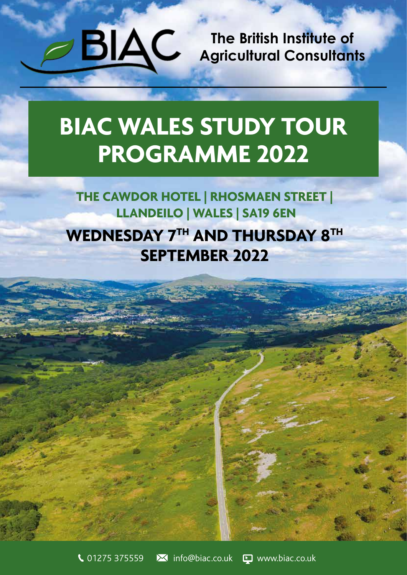**The British Institute of Agricultural Consultants**

# **BIAC WALES STUDY TOUR PROGRAMME 2022**

## **THE CAWDOR HOTEL | RHOSMAEN STREET | LLANDEILO | WALES | SA19 6EN WEDNESDAY 7TH AND THURSDAY 8TH SEPTEMBER 2022**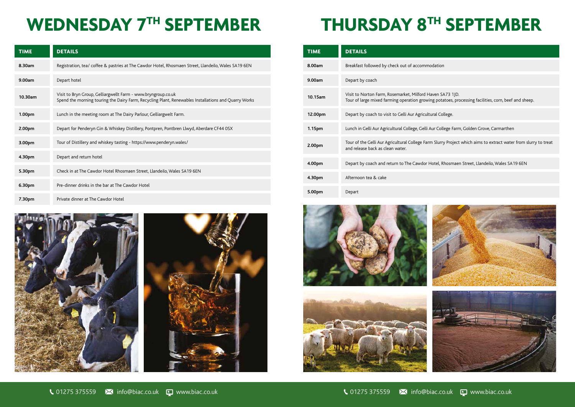# **WEDNESDAY 7TH SEPTEMBER THURSDAY 8TH SEPTEMBER**

| <b>TIME</b> | <b>DETAILS</b>                                                                                 |
|-------------|------------------------------------------------------------------------------------------------|
| 8.00am      | Breakfast followed by check out of accommod                                                    |
| 9.00am      | Depart by coach                                                                                |
| 10.15am     | Visit to Norton Farm, Rosemarket, Milford Hav<br>Tour of large mixed farming operation growing |
| 12.00pm     | Depart by coach to visit to Gelli Aur Agricultura                                              |
| 1.15pm      | Lunch in Gelli Aur Agricultural College, Gelli Aur                                             |
| 2.00pm      | Tour of the Gelli Aur Agricultural College Farm<br>and release back as clean water.            |
| 4.00pm      | Depart by coach and return to The Cawdor Ho                                                    |
| 4.30pm      | Afternoon tea & cake                                                                           |
| 5.00pm      | Depart                                                                                         |









ven SA73 1JD. potatoes, processing facilities, corn, beef and sheep.

r College Farm, Golden Grove, Carmarthen

Slurry Project which aims to extract water from slurry to treat

tel, Rhosmaen Street, Llandeilo, Wales SA19 6EN





| <b>TIME</b> | <b>DETAILS</b>                                                                                                                                                        |  | <b>TIME</b> | <b>DETAILS</b>                                                                                                    |
|-------------|-----------------------------------------------------------------------------------------------------------------------------------------------------------------------|--|-------------|-------------------------------------------------------------------------------------------------------------------|
| 8.30am      | Registration, tea/ coffee & pastries at The Cawdor Hotel, Rhosmaen Street, Llandeilo, Wales SA19 6EN                                                                  |  | 8.00am      | Breakfast followed by check out of accommodation                                                                  |
| 9.00am      | Depart hotel                                                                                                                                                          |  | 9.00am      | Depart by coach                                                                                                   |
| 10.30am     | Visit to Bryn Group, Gelliargwellt Farm - www.bryngroup.co.uk<br>Spend the morning touring the Dairy Farm, Recycling Plant, Renewables Installations and Quarry Works |  | 10.15am     | Visit to Norton Farm, Rosemarket, Milford Haven SA73 1<br>Tour of large mixed farming operation growing potatoes, |
| 1.00pm      | Lunch in the meeting room at The Dairy Parlour, Gelliargwelt Farm.                                                                                                    |  | 12.00pm     | Depart by coach to visit to Gelli Aur Agricultural College.                                                       |
| 2.00pm      | Depart for Penderyn Gin & Whiskey Distillery, Pontpren, Pontbren Llwyd, Aberdare CF44 OSX                                                                             |  | 1.15pm      | Lunch in Gelli Aur Agricultural College, Gelli Aur College F                                                      |
| 3.00pm      | Tour of Distillery and whiskey tasting - https://www.penderyn.wales/                                                                                                  |  | 2.00pm      | Tour of the Gelli Aur Agricultural College Farm Slurry Proj<br>and release back as clean water.                   |
| 4.30pm      | Depart and return hotel                                                                                                                                               |  |             |                                                                                                                   |
| 5.30pm      | Check in at The Cawdor Hotel Rhosmaen Street, Llandeilo, Wales SA19 6EN                                                                                               |  | 4.00pm      | Depart by coach and return to The Cawdor Hotel, Rhosm                                                             |
|             |                                                                                                                                                                       |  | 4.30pm      | Afternoon tea & cake                                                                                              |
| 6.30pm      | Pre-dinner drinks in the bar at The Cawdor Hotel                                                                                                                      |  | 5.00pm      | Depart                                                                                                            |
| 7.30pm      | Private dinner at The Cawdor Hotel                                                                                                                                    |  |             |                                                                                                                   |